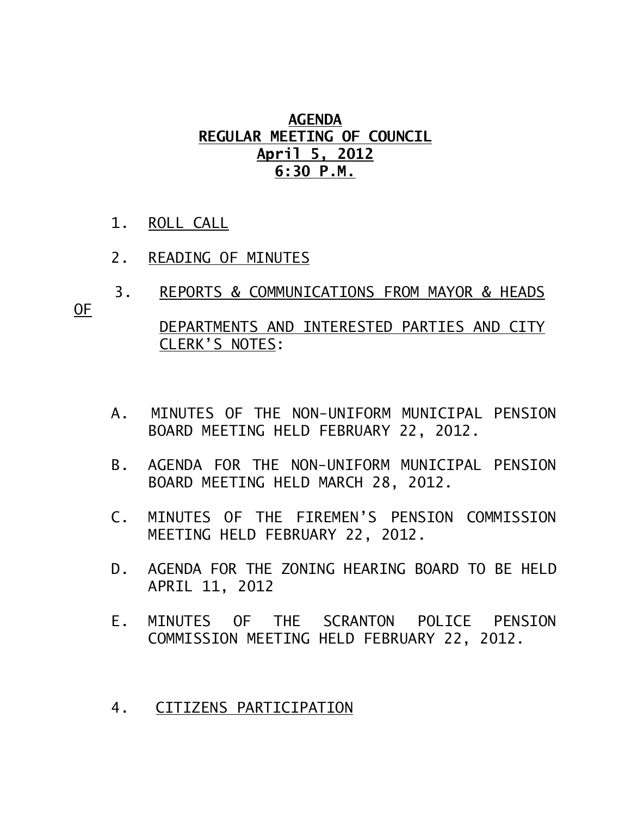## **AGENDA REGULAR MEETING OF COUNCIL April 5, 2012 6:30 P.M.**

- 1. ROLL CALL
- 2. READING OF MINUTES
- 3. REPORTS & COMMUNICATIONS FROM MAYOR & HEADS

OF

 DEPARTMENTS AND INTERESTED PARTIES AND CITY CLERK'S NOTES:

- A. MINUTES OF THE NON-UNIFORM MUNICIPAL PENSION BOARD MEETING HELD FEBRUARY 22, 2012.
- B. AGENDA FOR THE NON-UNIFORM MUNICIPAL PENSION BOARD MEETING HELD MARCH 28, 2012.
- C. MINUTES OF THE FIREMEN'S PENSION COMMISSION MEETING HELD FEBRUARY 22, 2012.
- D. AGENDA FOR THE ZONING HEARING BOARD TO BE HELD APRIL 11, 2012
- E. MINUTES OF THE SCRANTON POLICE PENSION COMMISSION MEETING HELD FEBRUARY 22, 2012.
- 4. CITIZENS PARTICIPATION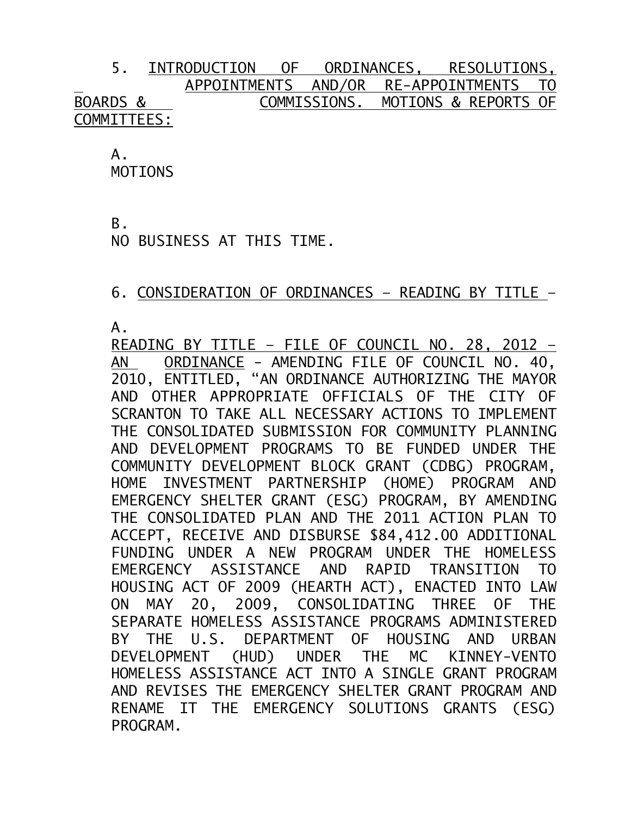## 5. INTRODUCTION OF ORDINANCES, RESOLUTIONS, APPOINTMENTS AND/OR RE-APPOINTMENTS TO BOARDS & COMMISSIONS. MOTIONS & REPORTS OF COMMITTEES:

 $A<sub>-</sub>$ 

MOTIONS

B.

NO BUSINESS AT THIS TIME.

## 6. CONSIDERATION OF ORDINANCES – READING BY TITLE –

A.

READING BY TITLE – FILE OF COUNCIL NO. 28, 2012 – AN ORDINANCE - AMENDING FILE OF COUNCIL NO. 40, 2010, ENTITLED, "AN ORDINANCE AUTHORIZING THE MAYOR AND OTHER APPROPRIATE OFFICIALS OF THE CITY OF SCRANTON TO TAKE ALL NECESSARY ACTIONS TO IMPLEMENT THE CONSOLIDATED SUBMISSION FOR COMMUNITY PLANNING AND DEVELOPMENT PROGRAMS TO BE FUNDED UNDER THE COMMUNITY DEVELOPMENT BLOCK GRANT (CDBG) PROGRAM, HOME INVESTMENT PARTNERSHIP (HOME) PROGRAM AND EMERGENCY SHELTER GRANT (ESG) PROGRAM, BY AMENDING THE CONSOLIDATED PLAN AND THE 2011 ACTION PLAN TO ACCEPT, RECEIVE AND DISBURSE \$84,412.00 ADDITIONAL FUNDING UNDER A NEW PROGRAM UNDER THE HOMELESS EMERGENCY ASSISTANCE AND RAPID TRANSITION TO HOUSING ACT OF 2009 (HEARTH ACT), ENACTED INTO LAW ON MAY 20, 2009, CONSOLIDATING THREE OF THE SEPARATE HOMELESS ASSISTANCE PROGRAMS ADMINISTERED BY THE U.S. DEPARTMENT OF HOUSING AND URBAN DEVELOPMENT (HUD) UNDER THE MC KINNEY-VENTO HOMELESS ASSISTANCE ACT INTO A SINGLE GRANT PROGRAM AND REVISES THE EMERGENCY SHELTER GRANT PROGRAM AND RENAME IT THE EMERGENCY SOLUTIONS GRANTS (ESG) PROGRAM.